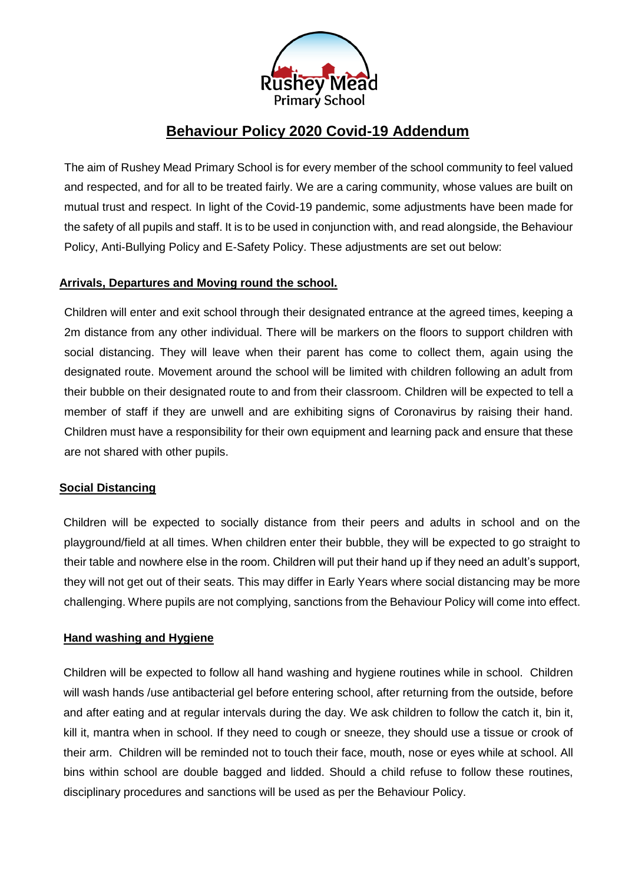

# **Behaviour Policy 2020 Covid-19 Addendum**

The aim of Rushey Mead Primary School is for every member of the school community to feel valued and respected, and for all to be treated fairly. We are a caring community, whose values are built on mutual trust and respect. In light of the Covid-19 pandemic, some adjustments have been made for the safety of all pupils and staff. It is to be used in conjunction with, and read alongside, the Behaviour Policy, Anti-Bullying Policy and E-Safety Policy. These adjustments are set out below:

# **Arrivals, Departures and Moving round the school.**

Children will enter and exit school through their designated entrance at the agreed times, keeping a 2m distance from any other individual. There will be markers on the floors to support children with social distancing. They will leave when their parent has come to collect them, again using the designated route. Movement around the school will be limited with children following an adult from their bubble on their designated route to and from their classroom. Children will be expected to tell a member of staff if they are unwell and are exhibiting signs of Coronavirus by raising their hand. Children must have a responsibility for their own equipment and learning pack and ensure that these are not shared with other pupils.

# **Social Distancing**

Children will be expected to socially distance from their peers and adults in school and on the playground/field at all times. When children enter their bubble, they will be expected to go straight to their table and nowhere else in the room. Children will put their hand up if they need an adult's support, they will not get out of their seats. This may differ in Early Years where social distancing may be more challenging. Where pupils are not complying, sanctions from the Behaviour Policy will come into effect.

# **Hand washing and Hygiene**

Children will be expected to follow all hand washing and hygiene routines while in school. Children will wash hands /use antibacterial gel before entering school, after returning from the outside, before and after eating and at regular intervals during the day. We ask children to follow the catch it, bin it, kill it, mantra when in school. If they need to cough or sneeze, they should use a tissue or crook of their arm. Children will be reminded not to touch their face, mouth, nose or eyes while at school. All bins within school are double bagged and lidded. Should a child refuse to follow these routines, disciplinary procedures and sanctions will be used as per the Behaviour Policy.